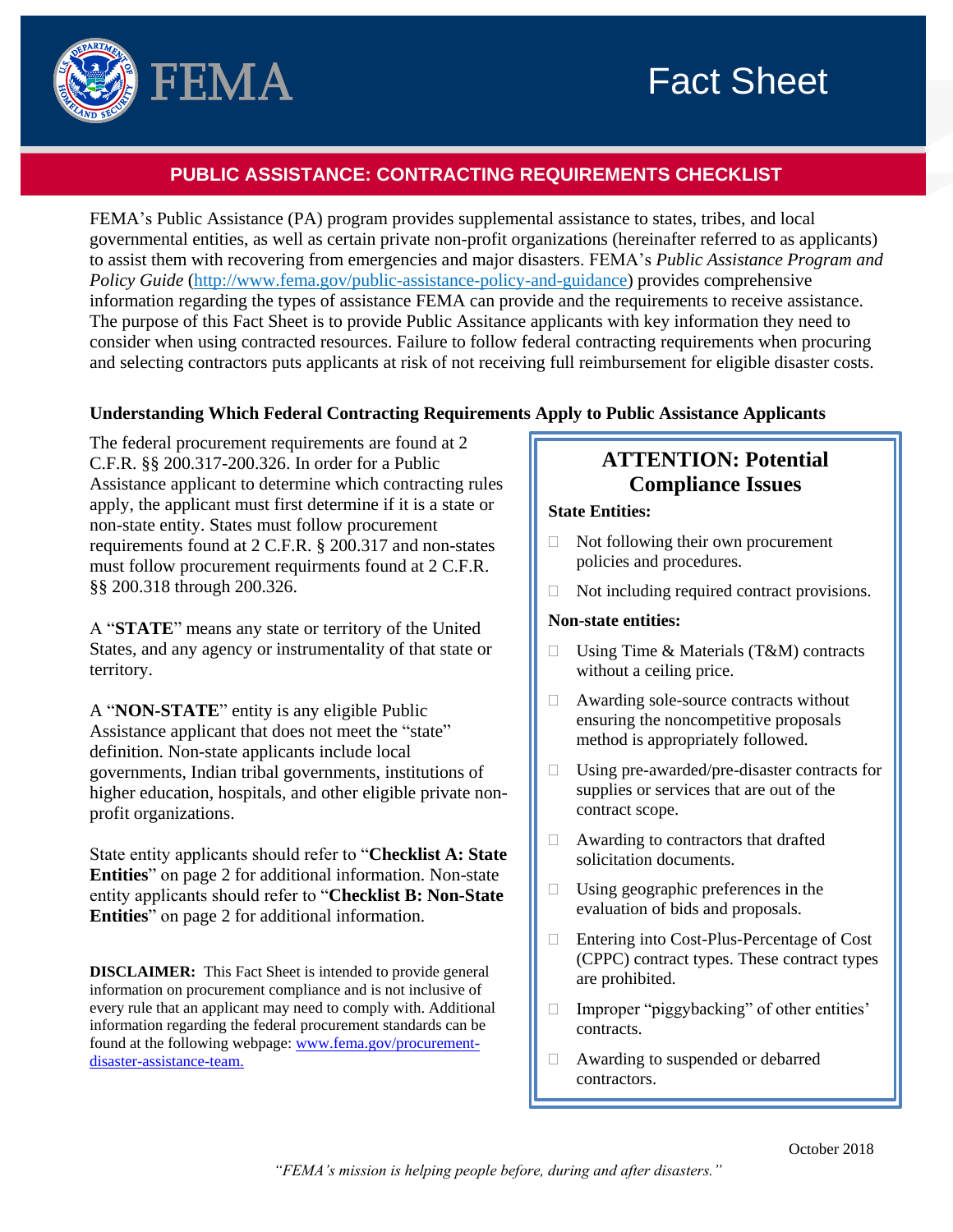

# **PUBLIC ASSISTANCE: CONTRACTING REQUIREMENTS CHECKLIST**

FEMA's Public Assistance (PA) program provides supplemental assistance to states, tribes, and local governmental entities, as well as certain private non-profit organizations (hereinafter referred to as applicants) to assist them with recovering from emergencies and major disasters. FEMA's *Public Assistance Program and Policy Guide* [\(http://www.fema.gov/public-assistance-policy-and-guidance\)](http://www.fema.gov/public-assistance-policy-and-guidance) provides comprehensive information regarding the types of assistance FEMA can provide and the requirements to receive assistance. The purpose of this Fact Sheet is to provide Public Assitance applicants with key information they need to consider when using contracted resources. Failure to follow federal contracting requirements when procuring and selecting contractors puts applicants at risk of not receiving full reimbursement for eligible disaster costs.

### **Understanding Which Federal Contracting Requirements Apply to Public Assistance Applicants**

The federal procurement requirements are found at 2 C.F.R. §§ 200.317-200.326. In order for a Public Assistance applicant to determine which contracting rules apply, the applicant must first determine if it is a state or non-state entity. States must follow procurement requirements found at 2 C.F.R. § 200.317 and non-states must follow procurement requirments found at 2 C.F.R. §§ 200.318 through 200.326.

A "**STATE**" means any state or territory of the United States, and any agency or instrumentality of that state or territory.

A "**NON-STATE**" entity is any eligible Public Assistance applicant that does not meet the "state" definition. Non-state applicants include local governments, Indian tribal governments, institutions of higher education, hospitals, and other eligible private nonprofit organizations.

State entity applicants should refer to "**Checklist A: State Entities**" on page 2 for additional information. Non-state entity applicants should refer to "**Checklist B: Non-State Entities**" on page 2 for additional information.

**DISCLAIMER:** This Fact Sheet is intended to provide general information on procurement compliance and is not inclusive of every rule that an applicant may need to comply with. Additional information regarding the federal procurement standards can be found at the following webpage: [www.fema.gov/procurement](http://www.fema.gov/procurement-disaster-assistance-team)[disaster-assistance-team.](http://www.fema.gov/procurement-disaster-assistance-team) 

# **ATTENTION: Potential Compliance Issues**

### **State Entities:**

- $\Box$  Not following their own procurement policies and procedures.
- $\Box$  Not including required contract provisions.

### **Non-state entities:**

- □ Using Time & Materials (T&M) contracts without a ceiling price.
- Awarding sole-source contracts without ensuring the noncompetitive proposals method is appropriately followed.
- □ Using pre-awarded/pre-disaster contracts for supplies or services that are out of the contract scope.
- $\Box$  Awarding to contractors that drafted solicitation documents.
- $\Box$  Using geographic preferences in the evaluation of bids and proposals.
- □ Entering into Cost-Plus-Percentage of Cost (CPPC) contract types. These contract types are prohibited.
- $\Box$  Improper "piggybacking" of other entities' contracts.
- Awarding to suspended or debarred contractors.